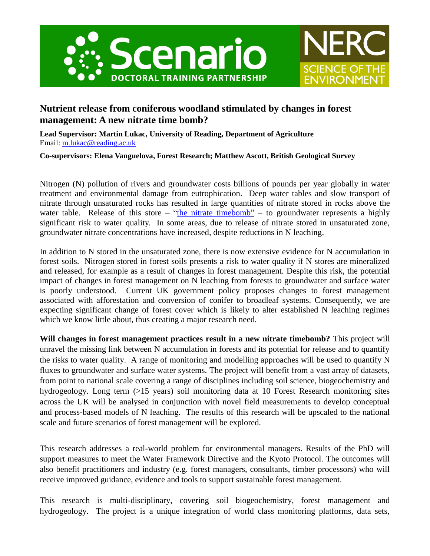



# **Nutrient release from coniferous woodland stimulated by changes in forest management: A new nitrate time bomb?**

**Lead Supervisor: Martin Lukac, University of Reading, Department of Agriculture** Email: [m.lukac@reading.ac.uk](mailto:m.lukac@reading.ac.uk)

**Co-supervisors: Elena Vanguelova, Forest Research; Matthew Ascott, British Geological Survey**

Nitrogen (N) pollution of rivers and groundwater costs billions of pounds per year globally in water treatment and environmental damage from eutrophication. Deep water tables and slow transport of nitrate through unsaturated rocks has resulted in large quantities of nitrate stored in rocks above the water table. Release of this store – ["the nitrate timebomb"](https://www.bbc.co.uk/news/science-environment-41945650) – to groundwater represents a highly significant risk to water quality. In some areas, due to release of nitrate stored in unsaturated zone, groundwater nitrate concentrations have increased, despite reductions in N leaching.

In addition to N stored in the unsaturated zone, there is now extensive evidence for N accumulation in forest soils. Nitrogen stored in forest soils presents a risk to water quality if N stores are mineralized and released, for example as a result of changes in forest management. Despite this risk, the potential impact of changes in forest management on N leaching from forests to groundwater and surface water is poorly understood. Current UK government policy proposes changes to forest management associated with afforestation and conversion of conifer to broadleaf systems. Consequently, we are expecting significant change of forest cover which is likely to alter established N leaching regimes which we know little about, thus creating a major research need.

**Will changes in forest management practices result in a new nitrate timebomb?** This project will unravel the missing link between N accumulation in forests and its potential for release and to quantify the risks to water quality. A range of monitoring and modelling approaches will be used to quantify N fluxes to groundwater and surface water systems. The project will benefit from a vast array of datasets, from point to national scale covering a range of disciplines including soil science, biogeochemistry and hydrogeology. Long term (>15 years) soil monitoring data at 10 Forest Research monitoring sites across the UK will be analysed in conjunction with novel field measurements to develop conceptual and process-based models of N leaching. The results of this research will be upscaled to the national scale and future scenarios of forest management will be explored.

This research addresses a real-world problem for environmental managers. Results of the PhD will support measures to meet the Water Framework Directive and the Kyoto Protocol. The outcomes will also benefit practitioners and industry (e.g. forest managers, consultants, timber processors) who will receive improved guidance, evidence and tools to support sustainable forest management.

This research is multi-disciplinary, covering soil biogeochemistry, forest management and hydrogeology. The project is a unique integration of world class monitoring platforms, data sets,